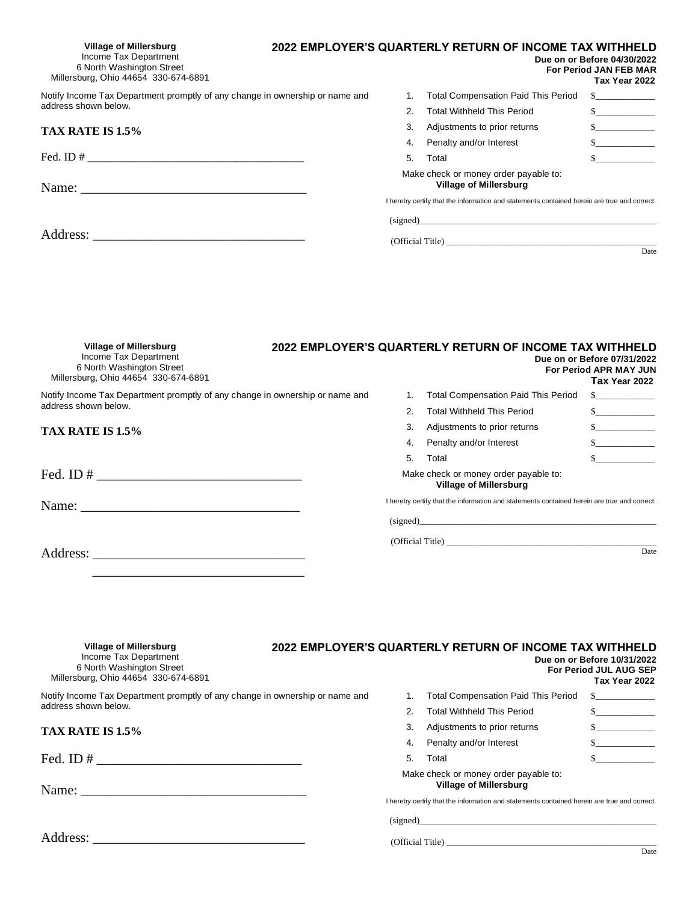| <b>Village of Millersburg</b><br>Income Tax Department<br>6 North Washington Street<br>Millersburg, Ohio 44654 330-674-6891 |    | 2022 EMPLOYER'S QUARTERLY RETURN OF INCOME TAX WITHHELD                                     | Due on or Before 04/30/2022<br>For Period JAN FEB MAR<br>Tax Year 2022 |
|-----------------------------------------------------------------------------------------------------------------------------|----|---------------------------------------------------------------------------------------------|------------------------------------------------------------------------|
| Notify Income Tax Department promptly of any change in ownership or name and                                                |    | <b>Total Compensation Paid This Period</b>                                                  | $\sim$                                                                 |
| address shown below.                                                                                                        |    | <b>Total Withheld This Period</b>                                                           | $\sim$                                                                 |
| TAX RATE IS 1.5%                                                                                                            | 3. | Adjustments to prior returns                                                                | $\sim$                                                                 |
|                                                                                                                             | 4. | Penalty and/or Interest                                                                     | $\sim$                                                                 |
|                                                                                                                             | 5. | Total                                                                                       | $\sim$                                                                 |
|                                                                                                                             |    | Make check or money order payable to:<br><b>Village of Millersburg</b>                      |                                                                        |
|                                                                                                                             |    | I hereby certify that the information and statements contained herein are true and correct. |                                                                        |
|                                                                                                                             |    | (signed)                                                                                    |                                                                        |
|                                                                                                                             |    | (Official Title)                                                                            |                                                                        |
|                                                                                                                             |    |                                                                                             | Date                                                                   |
|                                                                                                                             |    |                                                                                             |                                                                        |

| Village of Millersburg<br>Income Tax Department<br>6 North Washington Street<br>Millersburg, Ohio 44654 330-674-6891 |    | 2022 EMPLOYER'S QUARTERLY RETURN OF INCOME TAX WITHHELD                                     | Due on or Before 07/31/2022<br><b>For Period APR MAY JUN</b><br>Tax Year 2022 |
|----------------------------------------------------------------------------------------------------------------------|----|---------------------------------------------------------------------------------------------|-------------------------------------------------------------------------------|
| Notify Income Tax Department promptly of any change in ownership or name and                                         |    | <b>Total Compensation Paid This Period</b>                                                  |                                                                               |
| address shown below.                                                                                                 |    | Total Withheld This Period                                                                  | $\mathbb{S}$                                                                  |
| TAX RATE IS 1.5%                                                                                                     | 3. | Adjustments to prior returns                                                                | $\sim$                                                                        |
|                                                                                                                      | 4. | Penalty and/or Interest                                                                     | $\sim$                                                                        |
|                                                                                                                      | 5. | Total                                                                                       |                                                                               |
| Fed. ID $\#$                                                                                                         |    | Make check or money order payable to:<br><b>Village of Millersburg</b>                      |                                                                               |
| Name:<br><u> 1989 - Johann Stoff, amerikansk politiker (d. 1989)</u>                                                 |    | I hereby certify that the information and statements contained herein are true and correct. |                                                                               |
|                                                                                                                      |    | (signed)                                                                                    |                                                                               |
|                                                                                                                      |    | (Official Title)                                                                            |                                                                               |
| Address:                                                                                                             |    |                                                                                             | Date                                                                          |

\_\_\_\_\_\_\_\_\_\_\_\_\_\_\_\_\_\_\_\_\_\_\_\_\_\_\_\_\_\_\_

| <b>Village of Millersburg</b><br>Income Tax Department<br>6 North Washington Street<br>Millersburg, Ohio 44654 330-674-6891                                                                                                                                                                            |    | 2022 EMPLOYER'S QUARTERLY RETURN OF INCOME TAX WITHHELD                                                                                                               | Due on or Before 10/31/2022<br><b>For Period JUL AUG SEP</b><br>Tax Year 2022 |
|--------------------------------------------------------------------------------------------------------------------------------------------------------------------------------------------------------------------------------------------------------------------------------------------------------|----|-----------------------------------------------------------------------------------------------------------------------------------------------------------------------|-------------------------------------------------------------------------------|
| Notify Income Tax Department promptly of any change in ownership or name and                                                                                                                                                                                                                           |    | <b>Total Compensation Paid This Period</b>                                                                                                                            |                                                                               |
| address shown below.                                                                                                                                                                                                                                                                                   |    | <b>Total Withheld This Period</b>                                                                                                                                     | $\mathbb{S}$                                                                  |
| TAX RATE IS 1.5%                                                                                                                                                                                                                                                                                       | 3. | Adjustments to prior returns                                                                                                                                          |                                                                               |
|                                                                                                                                                                                                                                                                                                        | 4. | Penalty and/or Interest                                                                                                                                               | $\sim$                                                                        |
| Fed. ID # $\frac{1}{2}$ = $\frac{1}{2}$ = $\frac{1}{2}$ = $\frac{1}{2}$ = $\frac{1}{2}$ = $\frac{1}{2}$ = $\frac{1}{2}$ = $\frac{1}{2}$ = $\frac{1}{2}$ = $\frac{1}{2}$ = $\frac{1}{2}$ = $\frac{1}{2}$ = $\frac{1}{2}$ = $\frac{1}{2}$ = $\frac{1}{2}$ = $\frac{1}{2}$ = $\frac{1}{2}$ = $\frac{1}{2$ | 5. | Total                                                                                                                                                                 |                                                                               |
|                                                                                                                                                                                                                                                                                                        |    | Make check or money order payable to:<br><b>Village of Millersburg</b><br>I hereby certify that the information and statements contained herein are true and correct. |                                                                               |
|                                                                                                                                                                                                                                                                                                        |    | (signed)                                                                                                                                                              |                                                                               |
| Address:                                                                                                                                                                                                                                                                                               |    | (Official Title)                                                                                                                                                      | $\mathbf{D}$                                                                  |